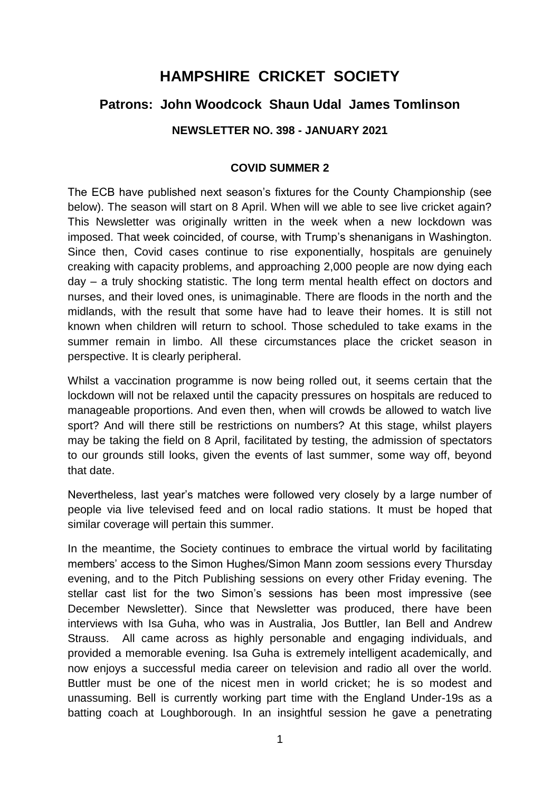# **HAMPSHIRE CRICKET SOCIETY**

# **Patrons: John Woodcock Shaun Udal James Tomlinson**

# **NEWSLETTER NO. 398 - JANUARY 2021**

#### **COVID SUMMER 2**

The ECB have published next season's fixtures for the County Championship (see below). The season will start on 8 April. When will we able to see live cricket again? This Newsletter was originally written in the week when a new lockdown was imposed. That week coincided, of course, with Trump's shenanigans in Washington. Since then, Covid cases continue to rise exponentially, hospitals are genuinely creaking with capacity problems, and approaching 2,000 people are now dying each day – a truly shocking statistic. The long term mental health effect on doctors and nurses, and their loved ones, is unimaginable. There are floods in the north and the midlands, with the result that some have had to leave their homes. It is still not known when children will return to school. Those scheduled to take exams in the summer remain in limbo. All these circumstances place the cricket season in perspective. It is clearly peripheral.

Whilst a vaccination programme is now being rolled out, it seems certain that the lockdown will not be relaxed until the capacity pressures on hospitals are reduced to manageable proportions. And even then, when will crowds be allowed to watch live sport? And will there still be restrictions on numbers? At this stage, whilst players may be taking the field on 8 April, facilitated by testing, the admission of spectators to our grounds still looks, given the events of last summer, some way off, beyond that date.

Nevertheless, last year's matches were followed very closely by a large number of people via live televised feed and on local radio stations. It must be hoped that similar coverage will pertain this summer.

In the meantime, the Society continues to embrace the virtual world by facilitating members' access to the Simon Hughes/Simon Mann zoom sessions every Thursday evening, and to the Pitch Publishing sessions on every other Friday evening. The stellar cast list for the two Simon's sessions has been most impressive (see December Newsletter). Since that Newsletter was produced, there have been interviews with Isa Guha, who was in Australia, Jos Buttler, Ian Bell and Andrew Strauss. All came across as highly personable and engaging individuals, and provided a memorable evening. Isa Guha is extremely intelligent academically, and now enjoys a successful media career on television and radio all over the world. Buttler must be one of the nicest men in world cricket; he is so modest and unassuming. Bell is currently working part time with the England Under-19s as a batting coach at Loughborough. In an insightful session he gave a penetrating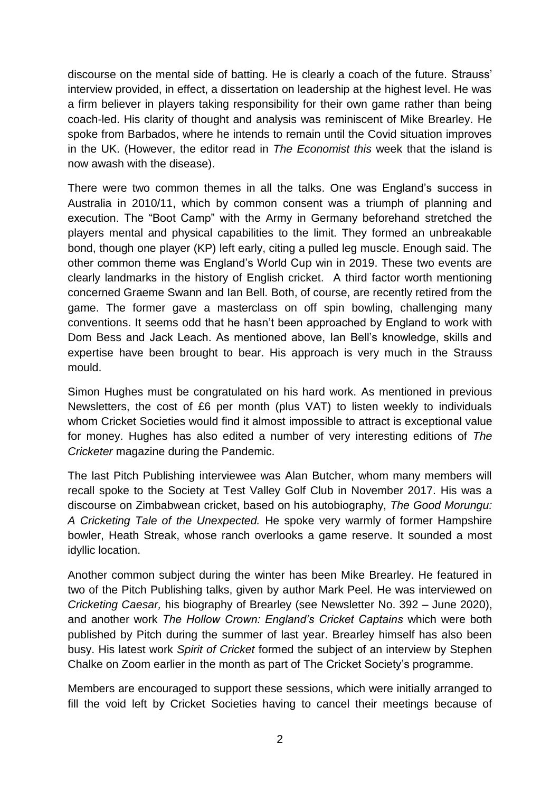discourse on the mental side of batting. He is clearly a coach of the future. Strauss' interview provided, in effect, a dissertation on leadership at the highest level. He was a firm believer in players taking responsibility for their own game rather than being coach-led. His clarity of thought and analysis was reminiscent of Mike Brearley. He spoke from Barbados, where he intends to remain until the Covid situation improves in the UK. (However, the editor read in *The Economist this* week that the island is now awash with the disease).

There were two common themes in all the talks. One was England's success in Australia in 2010/11, which by common consent was a triumph of planning and execution. The "Boot Camp" with the Army in Germany beforehand stretched the players mental and physical capabilities to the limit. They formed an unbreakable bond, though one player (KP) left early, citing a pulled leg muscle. Enough said. The other common theme was England's World Cup win in 2019. These two events are clearly landmarks in the history of English cricket. A third factor worth mentioning concerned Graeme Swann and Ian Bell. Both, of course, are recently retired from the game. The former gave a masterclass on off spin bowling, challenging many conventions. It seems odd that he hasn't been approached by England to work with Dom Bess and Jack Leach. As mentioned above, Ian Bell's knowledge, skills and expertise have been brought to bear. His approach is very much in the Strauss mould.

Simon Hughes must be congratulated on his hard work. As mentioned in previous Newsletters, the cost of £6 per month (plus VAT) to listen weekly to individuals whom Cricket Societies would find it almost impossible to attract is exceptional value for money. Hughes has also edited a number of very interesting editions of *The Cricketer* magazine during the Pandemic.

The last Pitch Publishing interviewee was Alan Butcher, whom many members will recall spoke to the Society at Test Valley Golf Club in November 2017. His was a discourse on Zimbabwean cricket, based on his autobiography, *The Good Morungu: A Cricketing Tale of the Unexpected.* He spoke very warmly of former Hampshire bowler, Heath Streak, whose ranch overlooks a game reserve. It sounded a most idyllic location.

Another common subject during the winter has been Mike Brearley. He featured in two of the Pitch Publishing talks, given by author Mark Peel. He was interviewed on *Cricketing Caesar,* his biography of Brearley (see Newsletter No. 392 – June 2020), and another work *The Hollow Crown: England's Cricket Captains* which were both published by Pitch during the summer of last year. Brearley himself has also been busy. His latest work *Spirit of Cricket* formed the subject of an interview by Stephen Chalke on Zoom earlier in the month as part of The Cricket Society's programme.

Members are encouraged to support these sessions, which were initially arranged to fill the void left by Cricket Societies having to cancel their meetings because of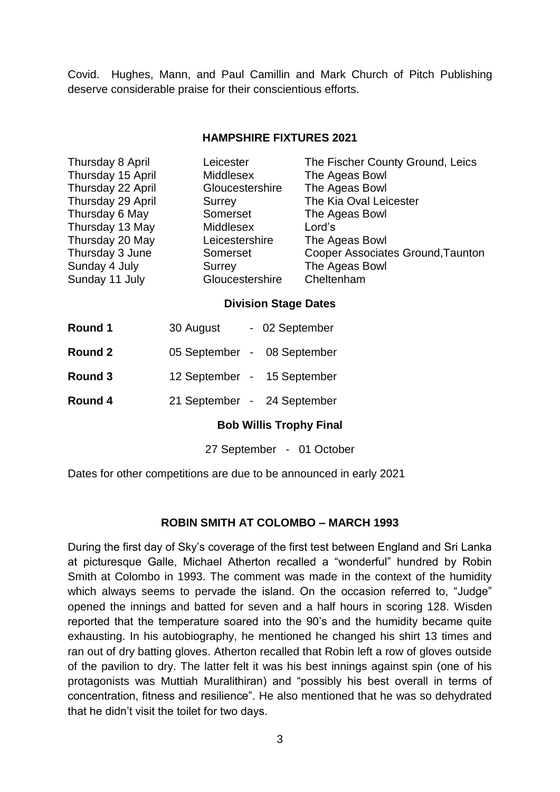Covid. Hughes, Mann, and Paul Camillin and Mark Church of Pitch Publishing deserve considerable praise for their conscientious efforts.

#### **HAMPSHIRE FIXTURES 2021**

| Thursday 8 April  | Leicester        | The Fischer County Ground, Leics  |
|-------------------|------------------|-----------------------------------|
| Thursday 15 April | <b>Middlesex</b> | The Ageas Bowl                    |
| Thursday 22 April | Gloucestershire  | The Ageas Bowl                    |
| Thursday 29 April | Surrey           | The Kia Oval Leicester            |
| Thursday 6 May    | Somerset         | The Ageas Bowl                    |
| Thursday 13 May   | <b>Middlesex</b> | Lord's                            |
| Thursday 20 May   | Leicestershire   | The Ageas Bowl                    |
| Thursday 3 June   | Somerset         | Cooper Associates Ground, Taunton |
| Sunday 4 July     | Surrey           | The Ageas Bowl                    |
| Sunday 11 July    | Gloucestershire  | Cheltenham                        |
|                   |                  |                                   |

#### **Division Stage Dates**

| Round 1 | 30 August                   | - 02 September              |
|---------|-----------------------------|-----------------------------|
| Round 2 | 05 September - 08 September |                             |
| Round 3 |                             | 12 September - 15 September |

**Round 4** 21 September - 24 September

#### **Bob Willis Trophy Final**

27 September - 01 October

Dates for other competitions are due to be announced in early 2021

#### **ROBIN SMITH AT COLOMBO – MARCH 1993**

During the first day of Sky's coverage of the first test between England and Sri Lanka at picturesque Galle, Michael Atherton recalled a "wonderful" hundred by Robin Smith at Colombo in 1993. The comment was made in the context of the humidity which always seems to pervade the island. On the occasion referred to, "Judge" opened the innings and batted for seven and a half hours in scoring 128. Wisden reported that the temperature soared into the 90's and the humidity became quite exhausting. In his autobiography, he mentioned he changed his shirt 13 times and ran out of dry batting gloves. Atherton recalled that Robin left a row of gloves outside of the pavilion to dry. The latter felt it was his best innings against spin (one of his protagonists was Muttiah Muralithiran) and "possibly his best overall in terms of concentration, fitness and resilience". He also mentioned that he was so dehydrated that he didn't visit the toilet for two days.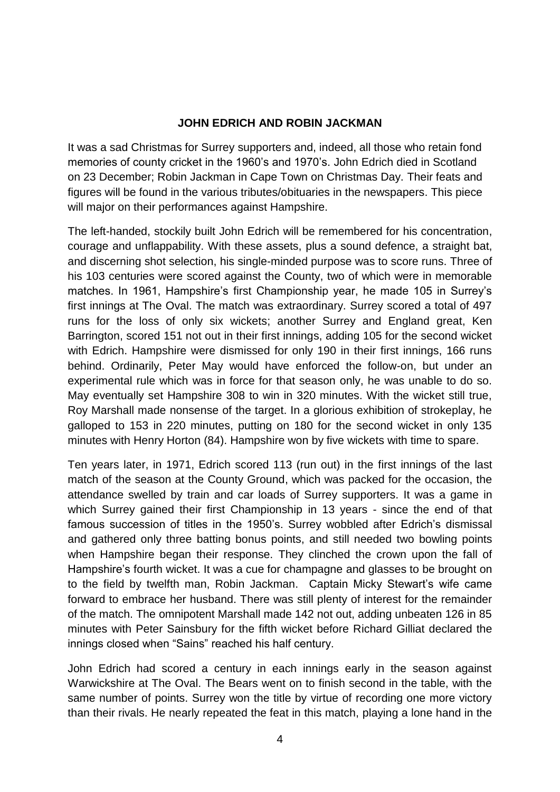## **JOHN EDRICH AND ROBIN JACKMAN**

It was a sad Christmas for Surrey supporters and, indeed, all those who retain fond memories of county cricket in the 1960's and 1970's. John Edrich died in Scotland on 23 December; Robin Jackman in Cape Town on Christmas Day. Their feats and figures will be found in the various tributes/obituaries in the newspapers. This piece will major on their performances against Hampshire.

The left-handed, stockily built John Edrich will be remembered for his concentration, courage and unflappability. With these assets, plus a sound defence, a straight bat, and discerning shot selection, his single-minded purpose was to score runs. Three of his 103 centuries were scored against the County, two of which were in memorable matches. In 1961, Hampshire's first Championship year, he made 105 in Surrey's first innings at The Oval. The match was extraordinary. Surrey scored a total of 497 runs for the loss of only six wickets; another Surrey and England great, Ken Barrington, scored 151 not out in their first innings, adding 105 for the second wicket with Edrich. Hampshire were dismissed for only 190 in their first innings, 166 runs behind. Ordinarily, Peter May would have enforced the follow-on, but under an experimental rule which was in force for that season only, he was unable to do so. May eventually set Hampshire 308 to win in 320 minutes. With the wicket still true, Roy Marshall made nonsense of the target. In a glorious exhibition of strokeplay, he galloped to 153 in 220 minutes, putting on 180 for the second wicket in only 135 minutes with Henry Horton (84). Hampshire won by five wickets with time to spare.

Ten years later, in 1971, Edrich scored 113 (run out) in the first innings of the last match of the season at the County Ground, which was packed for the occasion, the attendance swelled by train and car loads of Surrey supporters. It was a game in which Surrey gained their first Championship in 13 years - since the end of that famous succession of titles in the 1950's. Surrey wobbled after Edrich's dismissal and gathered only three batting bonus points, and still needed two bowling points when Hampshire began their response. They clinched the crown upon the fall of Hampshire's fourth wicket. It was a cue for champagne and glasses to be brought on to the field by twelfth man, Robin Jackman. Captain Micky Stewart's wife came forward to embrace her husband. There was still plenty of interest for the remainder of the match. The omnipotent Marshall made 142 not out, adding unbeaten 126 in 85 minutes with Peter Sainsbury for the fifth wicket before Richard Gilliat declared the innings closed when "Sains" reached his half century.

John Edrich had scored a century in each innings early in the season against Warwickshire at The Oval. The Bears went on to finish second in the table, with the same number of points. Surrey won the title by virtue of recording one more victory than their rivals. He nearly repeated the feat in this match, playing a lone hand in the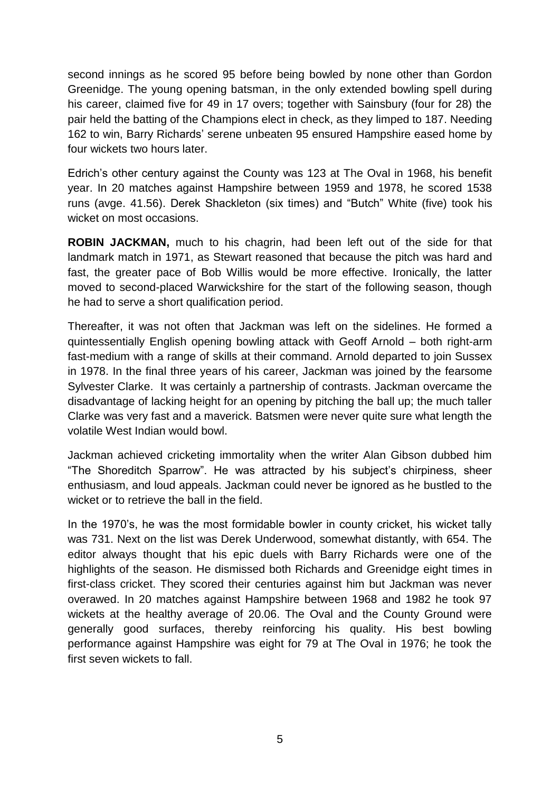second innings as he scored 95 before being bowled by none other than Gordon Greenidge. The young opening batsman, in the only extended bowling spell during his career, claimed five for 49 in 17 overs; together with Sainsbury (four for 28) the pair held the batting of the Champions elect in check, as they limped to 187. Needing 162 to win, Barry Richards' serene unbeaten 95 ensured Hampshire eased home by four wickets two hours later.

Edrich's other century against the County was 123 at The Oval in 1968, his benefit year. In 20 matches against Hampshire between 1959 and 1978, he scored 1538 runs (avge. 41.56). Derek Shackleton (six times) and "Butch" White (five) took his wicket on most occasions.

**ROBIN JACKMAN,** much to his chagrin, had been left out of the side for that landmark match in 1971, as Stewart reasoned that because the pitch was hard and fast, the greater pace of Bob Willis would be more effective. Ironically, the latter moved to second-placed Warwickshire for the start of the following season, though he had to serve a short qualification period.

Thereafter, it was not often that Jackman was left on the sidelines. He formed a quintessentially English opening bowling attack with Geoff Arnold – both right-arm fast-medium with a range of skills at their command. Arnold departed to join Sussex in 1978. In the final three years of his career, Jackman was joined by the fearsome Sylvester Clarke. It was certainly a partnership of contrasts. Jackman overcame the disadvantage of lacking height for an opening by pitching the ball up; the much taller Clarke was very fast and a maverick. Batsmen were never quite sure what length the volatile West Indian would bowl.

Jackman achieved cricketing immortality when the writer Alan Gibson dubbed him "The Shoreditch Sparrow". He was attracted by his subject's chirpiness, sheer enthusiasm, and loud appeals. Jackman could never be ignored as he bustled to the wicket or to retrieve the ball in the field.

In the 1970's, he was the most formidable bowler in county cricket, his wicket tally was 731. Next on the list was Derek Underwood, somewhat distantly, with 654. The editor always thought that his epic duels with Barry Richards were one of the highlights of the season. He dismissed both Richards and Greenidge eight times in first-class cricket. They scored their centuries against him but Jackman was never overawed. In 20 matches against Hampshire between 1968 and 1982 he took 97 wickets at the healthy average of 20.06. The Oval and the County Ground were generally good surfaces, thereby reinforcing his quality. His best bowling performance against Hampshire was eight for 79 at The Oval in 1976; he took the first seven wickets to fall.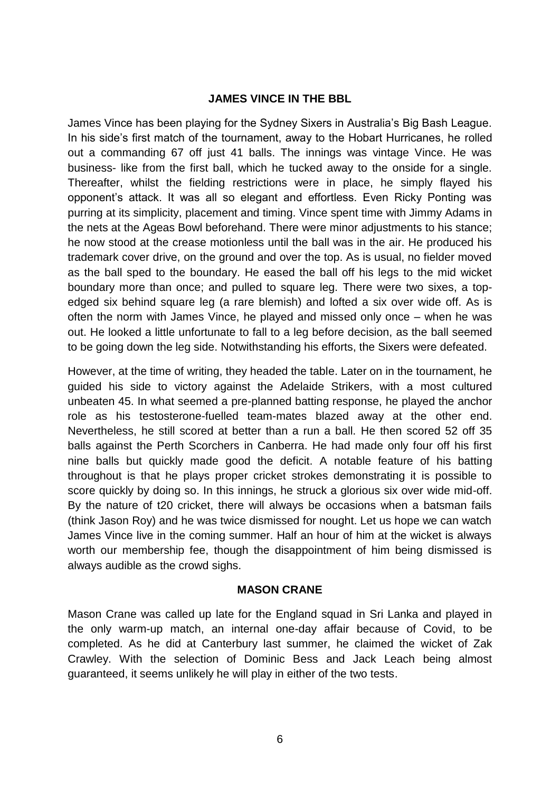#### **JAMES VINCE IN THE BBL**

James Vince has been playing for the Sydney Sixers in Australia's Big Bash League. In his side's first match of the tournament, away to the Hobart Hurricanes, he rolled out a commanding 67 off just 41 balls. The innings was vintage Vince. He was business- like from the first ball, which he tucked away to the onside for a single. Thereafter, whilst the fielding restrictions were in place, he simply flayed his opponent's attack. It was all so elegant and effortless. Even Ricky Ponting was purring at its simplicity, placement and timing. Vince spent time with Jimmy Adams in the nets at the Ageas Bowl beforehand. There were minor adjustments to his stance; he now stood at the crease motionless until the ball was in the air. He produced his trademark cover drive, on the ground and over the top. As is usual, no fielder moved as the ball sped to the boundary. He eased the ball off his legs to the mid wicket boundary more than once; and pulled to square leg. There were two sixes, a topedged six behind square leg (a rare blemish) and lofted a six over wide off. As is often the norm with James Vince, he played and missed only once – when he was out. He looked a little unfortunate to fall to a leg before decision, as the ball seemed to be going down the leg side. Notwithstanding his efforts, the Sixers were defeated.

However, at the time of writing, they headed the table. Later on in the tournament, he guided his side to victory against the Adelaide Strikers, with a most cultured unbeaten 45. In what seemed a pre-planned batting response, he played the anchor role as his testosterone-fuelled team-mates blazed away at the other end. Nevertheless, he still scored at better than a run a ball. He then scored 52 off 35 balls against the Perth Scorchers in Canberra. He had made only four off his first nine balls but quickly made good the deficit. A notable feature of his batting throughout is that he plays proper cricket strokes demonstrating it is possible to score quickly by doing so. In this innings, he struck a glorious six over wide mid-off. By the nature of t20 cricket, there will always be occasions when a batsman fails (think Jason Roy) and he was twice dismissed for nought. Let us hope we can watch James Vince live in the coming summer. Half an hour of him at the wicket is always worth our membership fee, though the disappointment of him being dismissed is always audible as the crowd sighs.

#### **MASON CRANE**

Mason Crane was called up late for the England squad in Sri Lanka and played in the only warm-up match, an internal one-day affair because of Covid, to be completed. As he did at Canterbury last summer, he claimed the wicket of Zak Crawley. With the selection of Dominic Bess and Jack Leach being almost guaranteed, it seems unlikely he will play in either of the two tests.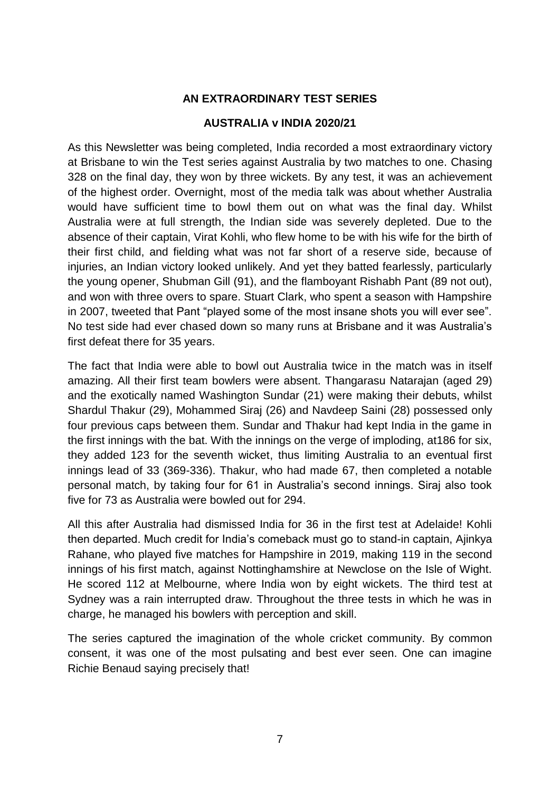# **AN EXTRAORDINARY TEST SERIES**

#### **AUSTRALIA v INDIA 2020/21**

As this Newsletter was being completed, India recorded a most extraordinary victory at Brisbane to win the Test series against Australia by two matches to one. Chasing 328 on the final day, they won by three wickets. By any test, it was an achievement of the highest order. Overnight, most of the media talk was about whether Australia would have sufficient time to bowl them out on what was the final day. Whilst Australia were at full strength, the Indian side was severely depleted. Due to the absence of their captain, Virat Kohli, who flew home to be with his wife for the birth of their first child, and fielding what was not far short of a reserve side, because of injuries, an Indian victory looked unlikely. And yet they batted fearlessly, particularly the young opener, Shubman Gill (91), and the flamboyant Rishabh Pant (89 not out), and won with three overs to spare. Stuart Clark, who spent a season with Hampshire in 2007, tweeted that Pant "played some of the most insane shots you will ever see". No test side had ever chased down so many runs at Brisbane and it was Australia's first defeat there for 35 years.

The fact that India were able to bowl out Australia twice in the match was in itself amazing. All their first team bowlers were absent. Thangarasu Natarajan (aged 29) and the exotically named Washington Sundar (21) were making their debuts, whilst Shardul Thakur (29), Mohammed Siraj (26) and Navdeep Saini (28) possessed only four previous caps between them. Sundar and Thakur had kept India in the game in the first innings with the bat. With the innings on the verge of imploding, at186 for six, they added 123 for the seventh wicket, thus limiting Australia to an eventual first innings lead of 33 (369-336). Thakur, who had made 67, then completed a notable personal match, by taking four for 61 in Australia's second innings. Siraj also took five for 73 as Australia were bowled out for 294.

All this after Australia had dismissed India for 36 in the first test at Adelaide! Kohli then departed. Much credit for India's comeback must go to stand-in captain, Ajinkya Rahane, who played five matches for Hampshire in 2019, making 119 in the second innings of his first match, against Nottinghamshire at Newclose on the Isle of Wight. He scored 112 at Melbourne, where India won by eight wickets. The third test at Sydney was a rain interrupted draw. Throughout the three tests in which he was in charge, he managed his bowlers with perception and skill.

The series captured the imagination of the whole cricket community. By common consent, it was one of the most pulsating and best ever seen. One can imagine Richie Benaud saying precisely that!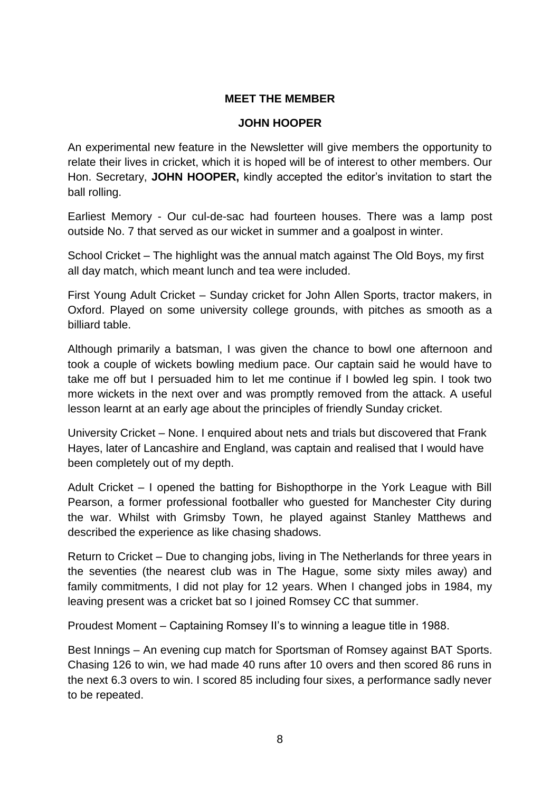## **MEET THE MEMBER**

#### **JOHN HOOPER**

An experimental new feature in the Newsletter will give members the opportunity to relate their lives in cricket, which it is hoped will be of interest to other members. Our Hon. Secretary, **JOHN HOOPER,** kindly accepted the editor's invitation to start the ball rolling.

Earliest Memory - Our cul-de-sac had fourteen houses. There was a lamp post outside No. 7 that served as our wicket in summer and a goalpost in winter.

School Cricket – The highlight was the annual match against The Old Boys, my first all day match, which meant lunch and tea were included.

First Young Adult Cricket – Sunday cricket for John Allen Sports, tractor makers, in Oxford. Played on some university college grounds, with pitches as smooth as a billiard table.

Although primarily a batsman, I was given the chance to bowl one afternoon and took a couple of wickets bowling medium pace. Our captain said he would have to take me off but I persuaded him to let me continue if I bowled leg spin. I took two more wickets in the next over and was promptly removed from the attack. A useful lesson learnt at an early age about the principles of friendly Sunday cricket.

University Cricket – None. I enquired about nets and trials but discovered that Frank Hayes, later of Lancashire and England, was captain and realised that I would have been completely out of my depth.

Adult Cricket – I opened the batting for Bishopthorpe in the York League with Bill Pearson, a former professional footballer who guested for Manchester City during the war. Whilst with Grimsby Town, he played against Stanley Matthews and described the experience as like chasing shadows.

Return to Cricket – Due to changing jobs, living in The Netherlands for three years in the seventies (the nearest club was in The Hague, some sixty miles away) and family commitments, I did not play for 12 years. When I changed jobs in 1984, my leaving present was a cricket bat so I joined Romsey CC that summer.

Proudest Moment – Captaining Romsey II's to winning a league title in 1988.

Best Innings – An evening cup match for Sportsman of Romsey against BAT Sports. Chasing 126 to win, we had made 40 runs after 10 overs and then scored 86 runs in the next 6.3 overs to win. I scored 85 including four sixes, a performance sadly never to be repeated.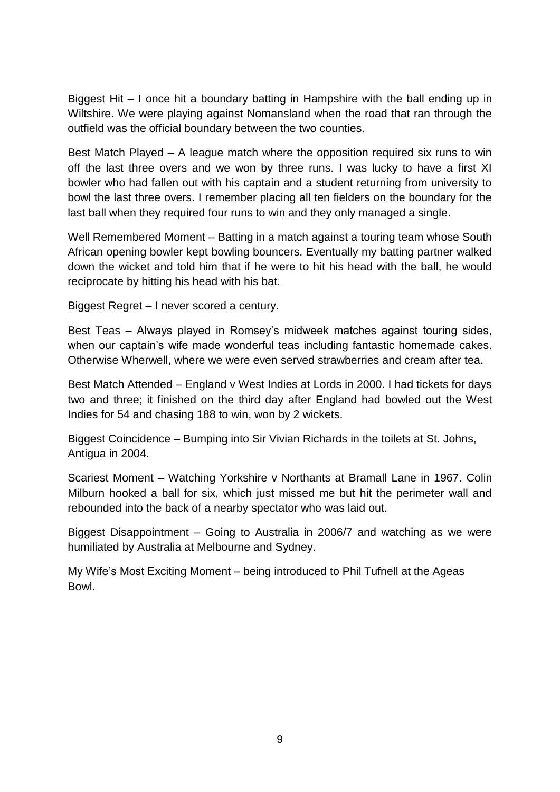Biggest Hit – I once hit a boundary batting in Hampshire with the ball ending up in Wiltshire. We were playing against Nomansland when the road that ran through the outfield was the official boundary between the two counties.

Best Match Played – A league match where the opposition required six runs to win off the last three overs and we won by three runs. I was lucky to have a first XI bowler who had fallen out with his captain and a student returning from university to bowl the last three overs. I remember placing all ten fielders on the boundary for the last ball when they required four runs to win and they only managed a single.

Well Remembered Moment – Batting in a match against a touring team whose South African opening bowler kept bowling bouncers. Eventually my batting partner walked down the wicket and told him that if he were to hit his head with the ball, he would reciprocate by hitting his head with his bat.

Biggest Regret – I never scored a century.

Best Teas – Always played in Romsey's midweek matches against touring sides, when our captain's wife made wonderful teas including fantastic homemade cakes. Otherwise Wherwell, where we were even served strawberries and cream after tea.

Best Match Attended – England v West Indies at Lords in 2000. I had tickets for days two and three; it finished on the third day after England had bowled out the West Indies for 54 and chasing 188 to win, won by 2 wickets.

Biggest Coincidence – Bumping into Sir Vivian Richards in the toilets at St. Johns, Antigua in 2004.

Scariest Moment – Watching Yorkshire v Northants at Bramall Lane in 1967. Colin Milburn hooked a ball for six, which just missed me but hit the perimeter wall and rebounded into the back of a nearby spectator who was laid out.

Biggest Disappointment – Going to Australia in 2006/7 and watching as we were humiliated by Australia at Melbourne and Sydney.

My Wife's Most Exciting Moment – being introduced to Phil Tufnell at the Ageas Bowl.